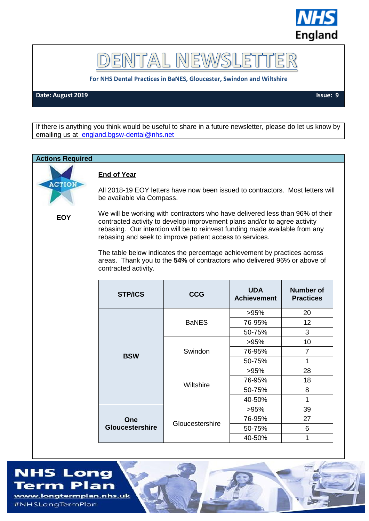

DENTAL NEWSLET

**For NHS Dental Practices in BaNES, Gloucester, Swindon and Wiltshire**

**Date: August 2019 Issue: 9**

If there is anything you think would be useful to share in a future newsletter, please do let us know by emailing us at [england.bgsw-dental@nhs.net](mailto:england.bgsw-dental@nhs.net)



## **NHS Long** Term Plan

www.longtermplan.nhs.uk #NHSLongTermPlan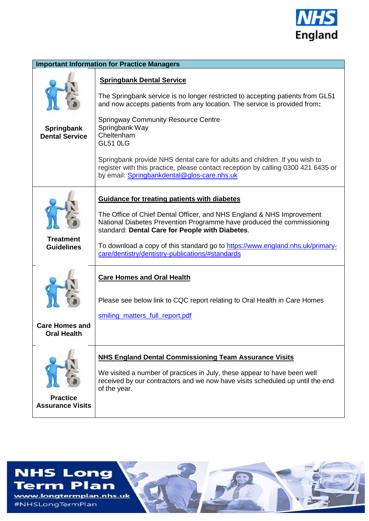

| <b>Important Information for Practice Managers</b> |                                                                                                                                                                                                                |  |  |  |
|----------------------------------------------------|----------------------------------------------------------------------------------------------------------------------------------------------------------------------------------------------------------------|--|--|--|
|                                                    | <b>Springbank Dental Service</b><br>The Springbank service is no longer restricted to accepting patients from GL51                                                                                             |  |  |  |
|                                                    | and now accepts patients from any location. The service is provided from:                                                                                                                                      |  |  |  |
| Springbank<br><b>Dental Service</b>                | <b>Springway Community Resource Centre</b><br>Springbank Way<br>Cheltenham<br><b>GL51 0LG</b>                                                                                                                  |  |  |  |
|                                                    | Springbank provide NHS dental care for adults and children. If you wish to<br>register with this practice, please contact reception by calling 0300 421 6435 or<br>by email: Springbankdental@glos-care.nhs.uk |  |  |  |
|                                                    | <b>Guidance for treating patients with diabetes</b>                                                                                                                                                            |  |  |  |
|                                                    | The Office of Chief Dental Officer, and NHS England & NHS Improvement<br>National Diabetes Prevention Programme have produced the commissioning<br>standard: Dental Care for People with Diabetes.             |  |  |  |
| <b>Treatment</b><br><b>Guidelines</b>              | To download a copy of this standard go to https://www.england.nhs.uk/primary-<br>care/dentistry/dentistry-publications/#standards                                                                              |  |  |  |
|                                                    | <b>Care Homes and Oral Health</b>                                                                                                                                                                              |  |  |  |
|                                                    | Please see below link to CQC report relating to Oral Health in Care Homes                                                                                                                                      |  |  |  |
| <b>Care Homes and</b><br><b>Oral Health</b>        | smiling_matters_full_report.pdf                                                                                                                                                                                |  |  |  |
|                                                    | <b>NHS England Dental Commissioning Team Assurance Visits</b>                                                                                                                                                  |  |  |  |
|                                                    | We visited a number of practices in July, these appear to have been well<br>received by our contractors and we now have visits scheduled up until the end<br>of the year.                                      |  |  |  |
| <b>Practice</b><br><b>Assurance Visits</b>         |                                                                                                                                                                                                                |  |  |  |

## **NHS Long**

**Term Plan** www.longtermplan.nhs.uk #NHSLongTermPlan